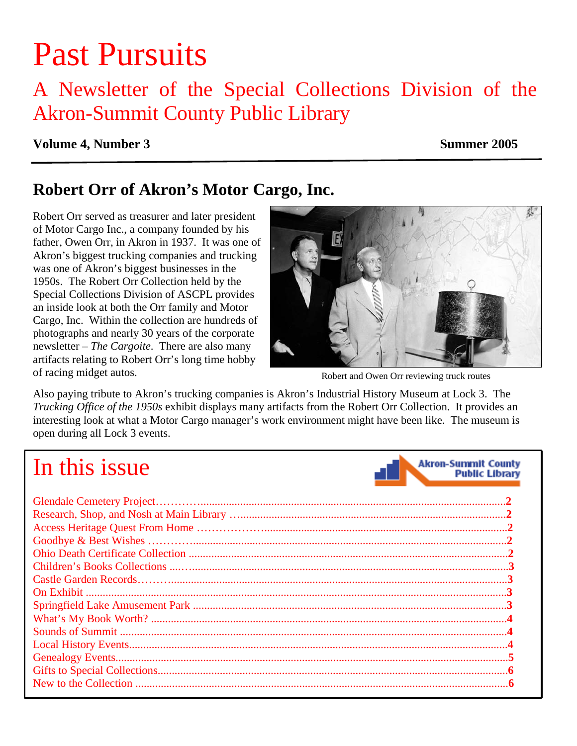# Past Pursuits

### A Newsletter of the Special Collections Division of the Akron-Summit County Public Library

#### **Volume 4, Number 3** Summer 2005

**Akron-Summit County** 

**Public Library** 

### **Robert Orr of Akron's Motor Cargo, Inc.**

Robert Orr served as treasurer and later president of Motor Cargo Inc., a company founded by his father, Owen Orr, in Akron in 1937. It was one of Akron's biggest trucking companies and trucking was one of Akron's biggest businesses in the 1950s. The Robert Orr Collection held by the Special Collections Division of ASCPL provides an inside look at both the Orr family and Motor Cargo, Inc. Within the collection are hundreds of photographs and nearly 30 years of the corporate newsletter – *The Cargoite*. There are also many artifacts relating to Robert Orr's long time hobby of racing midget autos.



Robert and Owen Orr reviewing truck routes

Also paying tribute to Akron's trucking companies is Akron's Industrial History Museum at Lock 3. The *Trucking Office of the 1950s* exhibit displays many artifacts from the Robert Orr Collection. It provides an interesting look at what a Motor Cargo manager's work environment might have been like. The museum is open during all Lock 3 events.

## In this issue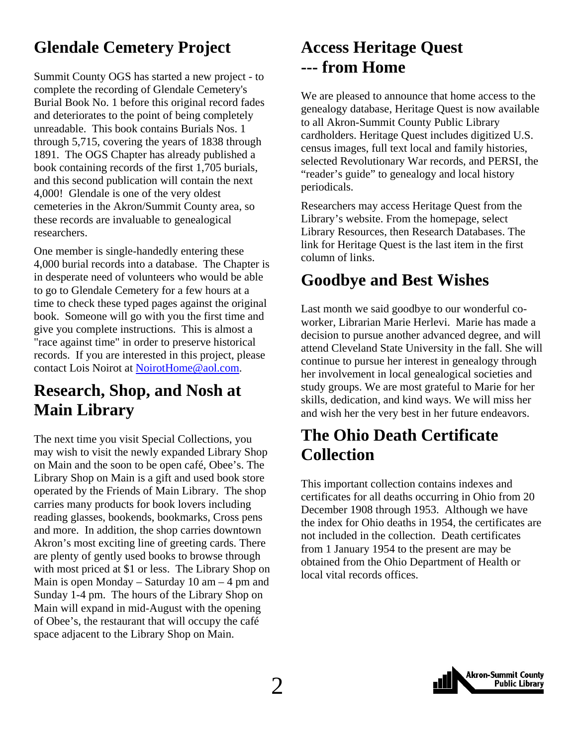### <span id="page-1-0"></span>**Glendale Cemetery Project**

Summit County OGS has started a new project - to complete the recording of Glendale Cemetery's Burial Book No. 1 before this original record fades and deteriorates to the point of being completely unreadable. This book contains Burials Nos. 1 through 5,715, covering the years of 1838 through 1891. The OGS Chapter has already published a book containing records of the first 1,705 burials, and this second publication will contain the next 4,000! Glendale is one of the very oldest cemeteries in the Akron/Summit County area, so these records are invaluable to genealogical researchers.

One member is single-handedly entering these 4,000 burial records into a database. The Chapter is in desperate need of volunteers who would be able to go to Glendale Cemetery for a few hours at a time to check these typed pages against the original book. Someone will go with you the first time and give you complete instructions. This is almost a "race against time" in order to preserve historical records. If you are interested in this project, please contact Lois Noirot at [NoirotHome@aol.com.](mailto:NoirotHome@aol.com)

### **Research, Shop, and Nosh at Main Library**

The next time you visit Special Collections, you may wish to visit the newly expanded Library Shop on Main and the soon to be open café, Obee's. The Library Shop on Main is a gift and used book store operated by the Friends of Main Library. The shop carries many products for book lovers including reading glasses, bookends, bookmarks, Cross pens and more. In addition, the shop carries downtown Akron's most exciting line of greeting cards. There are plenty of gently used books to browse through with most priced at \$1 or less. The Library Shop on Main is open Monday – Saturday  $10 \text{ am} - 4 \text{ pm}$  and Sunday 1-4 pm. The hours of the Library Shop on Main will expand in mid-August with the opening of Obee's, the restaurant that will occupy the café space adjacent to the Library Shop on Main.

### **Access Heritage Quest --- from Home**

We are pleased to announce that home access to the genealogy database, Heritage Quest is now available to all Akron-Summit County Public Library cardholders. Heritage Quest includes digitized U.S. census images, full text local and family histories, selected Revolutionary War records, and PERSI, the "reader's guide" to genealogy and local history periodicals.

Researchers may access Heritage Quest from the Library's website. From the homepage, select Library Resources, then Research Databases. The link for Heritage Quest is the last item in the first column of links.

### **Goodbye and Best Wishes**

Last month we said goodbye to our wonderful coworker, Librarian Marie Herlevi. Marie has made a decision to pursue another advanced degree, and will attend Cleveland State University in the fall. She will continue to pursue her interest in genealogy through her involvement in local genealogical societies and study groups. We are most grateful to Marie for her skills, dedication, and kind ways. We will miss her and wish her the very best in her future endeavors.

### **The Ohio Death Certificate Collection**

This important collection contains indexes and certificates for all deaths occurring in Ohio from 20 December 1908 through 1953. Although we have the index for Ohio deaths in 1954, the certificates are not included in the collection. Death certificates from 1 January 1954 to the present are may be obtained from the Ohio Department of Health or local vital records offices.

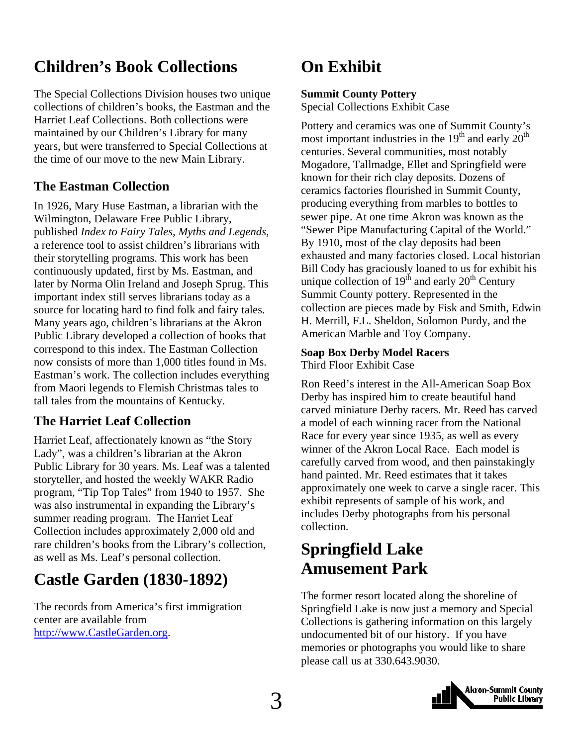### <span id="page-2-0"></span>**Children's Book Collections**

The Special Collections Division houses two unique collections of children's books, the Eastman and the Harriet Leaf Collections. Both collections were maintained by our Children's Library for many years, but were transferred to Special Collections at the time of our move to the new Main Library.

### **The Eastman Collection**

In 1926, Mary Huse Eastman, a librarian with the Wilmington, Delaware Free Public Library, published *Index to Fairy Tales, Myths and Legends*, a reference tool to assist children's librarians with their storytelling programs. This work has been continuously updated, first by Ms. Eastman, and later by Norma Olin Ireland and Joseph Sprug. This important index still serves librarians today as a source for locating hard to find folk and fairy tales. Many years ago, children's librarians at the Akron Public Library developed a collection of books that correspond to this index. The Eastman Collection now consists of more than 1,000 titles found in Ms. Eastman's work. The collection includes everything from Maori legends to Flemish Christmas tales to tall tales from the mountains of Kentucky.

#### **The Harriet Leaf Collection**

Harriet Leaf, affectionately known as "the Story Lady", was a children's librarian at the Akron Public Library for 30 years. Ms. Leaf was a talented storyteller, and hosted the weekly WAKR Radio program, "Tip Top Tales" from 1940 to 1957. She was also instrumental in expanding the Library's summer reading program. The Harriet Leaf Collection includes approximately 2,000 old and rare children's books from the Library's collection, as well as Ms. Leaf's personal collection.

### **Castle Garden (1830-1892)**

The records from America's first immigration center are available from [http://www.CastleGarden.org.](http://www.castlegarden.org/)

### **On Exhibit**

#### **Summit County Pottery**

Special Collections Exhibit Case

Pottery and ceramics was one of Summit County's most important industries in the  $19<sup>th</sup>$  and early  $20<sup>th</sup>$ centuries. Several communities, most notably Mogadore, Tallmadge, Ellet and Springfield were known for their rich clay deposits. Dozens of ceramics factories flourished in Summit County, producing everything from marbles to bottles to sewer pipe. At one time Akron was known as the "Sewer Pipe Manufacturing Capital of the World." By 1910, most of the clay deposits had been exhausted and many factories closed. Local historian Bill Cody has graciously loaned to us for exhibit his unique collection of  $19<sup>th</sup>$  and early  $20<sup>th</sup>$  Century Summit County pottery. Represented in the collection are pieces made by Fisk and Smith, Edwin H. Merrill, F.L. Sheldon, Solomon Purdy, and the American Marble and Toy Company.

#### **Soap Box Derby Model Racers**

Third Floor Exhibit Case

Ron Reed's interest in the All-American Soap Box Derby has inspired him to create beautiful hand carved miniature Derby racers. Mr. Reed has carved a model of each winning racer from the National Race for every year since 1935, as well as every winner of the Akron Local Race. Each model is carefully carved from wood, and then painstakingly hand painted. Mr. Reed estimates that it takes approximately one week to carve a single racer. This exhibit represents of sample of his work, and includes Derby photographs from his personal collection.

### **Springfield Lake Amusement Park**

The former resort located along the shoreline of Springfield Lake is now just a memory and Special Collections is gathering information on this largely undocumented bit of our history. If you have memories or photographs you would like to share please call us at 330.643.9030.

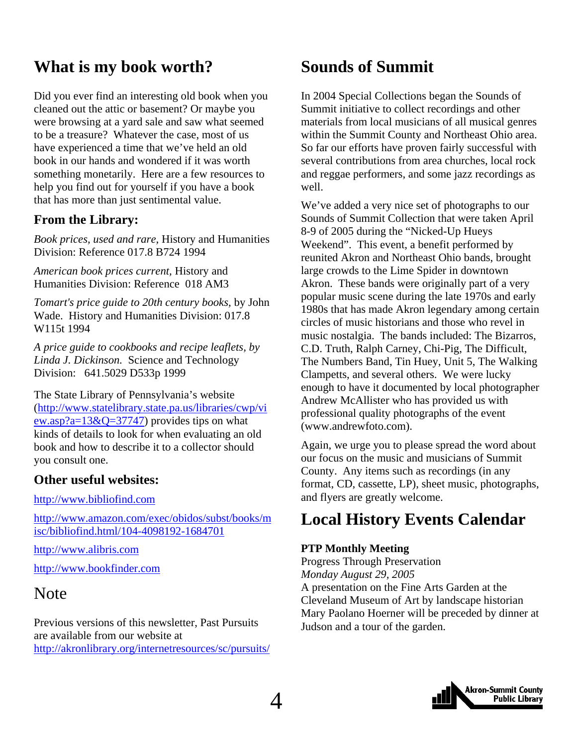### <span id="page-3-0"></span>**What is my book worth?**

Did you ever find an interesting old book when you cleaned out the attic or basement? Or maybe you were browsing at a yard sale and saw what seemed to be a treasure? Whatever the case, most of us have experienced a time that we've held an old book in our hands and wondered if it was worth something monetarily. Here are a few resources to help you find out for yourself if you have a book that has more than just sentimental value.

#### **From the Library:**

*Book prices, used and rare,* History and Humanities Division: Reference 017.8 B724 1994

*American book prices current,* History and Humanities Division: Reference 018 AM3

*Tomart's price guide to 20th century books,* by John Wade. History and Humanities Division: 017.8 W115t 1994

*A price guide to cookbooks and recipe leaflets, by Linda J. Dickinson.* Science and Technology Division: 641.5029 D533p 1999

The State Library of Pennsylvania's website ([http://www.statelibrary.state.pa.us/libraries/cwp/vi](http://www.statelibrary.state.pa.us/libraries/cwp/view.asp?a=13&Q=37747) ew.asp?a= $13&Q=37747$ ) provides tips on what kinds of details to look for when evaluating an old book and how to describe it to a collector should you consult one.

#### **Other useful websites:**

[http://www.bibliofind.com](http://www.bibliofind.com/) 

[http://www.amazon.com/exec/obidos/subst/books/m](http://www.amazon.com/exec/obidos/subst/books/misc/bibliofind.html/104-4098192-1684701) [isc/bibliofind.html/104-4098192-1684701](http://www.amazon.com/exec/obidos/subst/books/misc/bibliofind.html/104-4098192-1684701)

[http://www.alibris.com](http://www.alibris.com/)

[http://www.bookfinder.com](http://www.bookfinder.com/)

### Note

Previous versions of this newsletter, Past Pursuits are available from our website at <http://akronlibrary.org/internetresources/sc/pursuits/>

### **Sounds of Summit**

In 2004 Special Collections began the Sounds of Summit initiative to collect recordings and other materials from local musicians of all musical genres within the Summit County and Northeast Ohio area. So far our efforts have proven fairly successful with several contributions from area churches, local rock and reggae performers, and some jazz recordings as well.

We've added a very nice set of photographs to our Sounds of Summit Collection that were taken April 8-9 of 2005 during the "Nicked-Up Hueys Weekend". This event, a benefit performed by reunited Akron and Northeast Ohio bands, brought large crowds to the Lime Spider in downtown Akron. These bands were originally part of a very popular music scene during the late 1970s and early 1980s that has made Akron legendary among certain circles of music historians and those who revel in music nostalgia. The bands included: The Bizarros, C.D. Truth, Ralph Carney, Chi-Pig, The Difficult, The Numbers Band, Tin Huey, Unit 5, The Walking Clampetts, and several others. We were lucky enough to have it documented by local photographer Andrew McAllister who has provided us with professional quality photographs of the event (www.andrewfoto.com).

Again, we urge you to please spread the word about our focus on the music and musicians of Summit County. Any items such as recordings (in any format, CD, cassette, LP), sheet music, photographs, and flyers are greatly welcome.

### **Local History Events Calendar**

#### **PTP Monthly Meeting**

Progress Through Preservation *Monday August 29, 2005*  A presentation on the Fine Arts Garden at the Cleveland Museum of Art by landscape historian Mary Paolano Hoerner will be preceded by dinner at Judson and a tour of the garden.

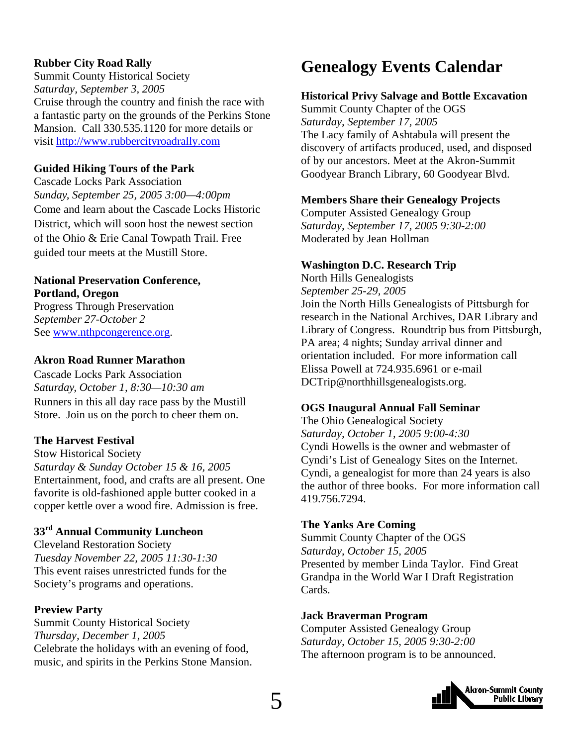#### <span id="page-4-0"></span>**Rubber City Road Rally**

Summit County Historical Society *Saturday, September 3, 2005*  Cruise through the country and finish the race with a fantastic party on the grounds of the Perkins Stone Mansion. Call 330.535.1120 for more details or visit [http://www.rubbercityroadrally.com](http://www.rubbercityroadrally.com/index.html)

#### **Guided Hiking Tours of the Park**

Cascade Locks Park Association *Sunday, September 25, 2005 3:00—4:00pm*  Come and learn about the Cascade Locks Historic District, which will soon host the newest section of the Ohio & Erie Canal Towpath Trail. Free guided tour meets at the Mustill Store.

#### **National Preservation Conference, Portland, Oregon**

Progress Through Preservation *September 27-October 2*  See [www.nthpcongerence.org](http://www.nthpcongerence.org/).

#### **Akron Road Runner Marathon**

Cascade Locks Park Association *Saturday, October 1, 8:30—10:30 am*  Runners in this all day race pass by the Mustill Store. Join us on the porch to cheer them on.

#### **The Harvest Festival**

Stow Historical Society *Saturday & Sunday October 15 & 16, 2005*  Entertainment, food, and crafts are all present. One favorite is old-fashioned apple butter cooked in a copper kettle over a wood fire. Admission is free.

#### **33rd Annual Community Luncheon**

Cleveland Restoration Society *Tuesday November 22, 2005 11:30-1:30*  This event raises unrestricted funds for the Society's programs and operations.

#### **Preview Party**

Summit County Historical Society *Thursday, December 1, 2005*  Celebrate the holidays with an evening of food, music, and spirits in the Perkins Stone Mansion.

### **Genealogy Events Calendar**

#### **Historical Privy Salvage and Bottle Excavation**

Summit County Chapter of the OGS *Saturday, September 17, 2005*  The Lacy family of Ashtabula will present the discovery of artifacts produced, used, and disposed of by our ancestors. Meet at the Akron-Summit Goodyear Branch Library, 60 Goodyear Blvd.

#### **Members Share their Genealogy Projects**

Computer Assisted Genealogy Group *Saturday, September 17, 2005 9:30-2:00*  Moderated by Jean Hollman

#### **Washington D.C. Research Trip**

North Hills Genealogists *September 25-29, 2005*  Join the North Hills Genealogists of Pittsburgh for research in the National Archives, DAR Library and Library of Congress. Roundtrip bus from Pittsburgh, PA area; 4 nights; Sunday arrival dinner and orientation included. For more information call Elissa Powell at 724.935.6961 or e-mail DCTrip@northhillsgenealogists.org.

#### **OGS Inaugural Annual Fall Seminar**

The Ohio Genealogical Society *Saturday, October 1, 2005 9:00-4:30*  Cyndi Howells is the owner and webmaster of Cyndi's List of Genealogy Sites on the Internet. Cyndi, a genealogist for more than 24 years is also the author of three books. For more information call 419.756.7294.

#### **The Yanks Are Coming**

Summit County Chapter of the OGS *Saturday, October 15, 2005* Presented by member Linda Taylor. Find Great Grandpa in the World War I Draft Registration Cards.

#### **Jack Braverman Program**

Computer Assisted Genealogy Group *Saturday, October 15, 2005 9:30-2:00* The afternoon program is to be announced.

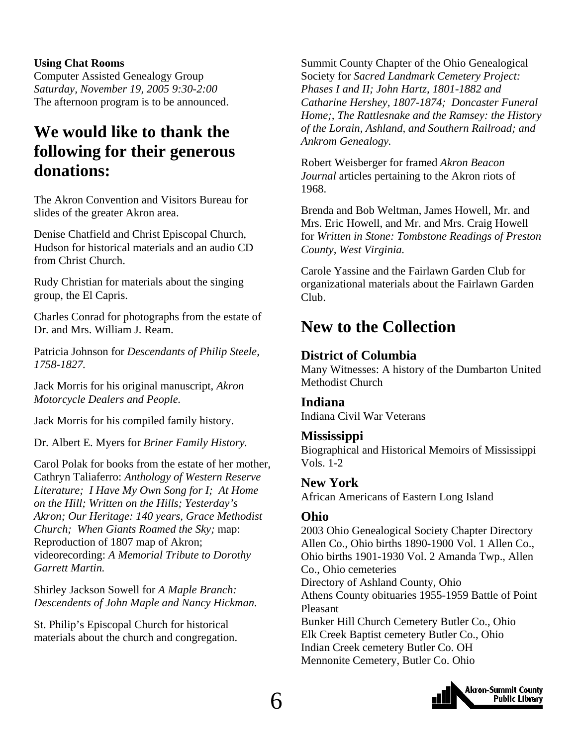#### <span id="page-5-0"></span>**Using Chat Rooms**

Computer Assisted Genealogy Group *Saturday, November 19, 2005 9:30-2:00* The afternoon program is to be announced.

### **We would like to thank the following for their generous donations:**

The Akron Convention and Visitors Bureau for slides of the greater Akron area.

Denise Chatfield and Christ Episcopal Church, Hudson for historical materials and an audio CD from Christ Church.

Rudy Christian for materials about the singing group, the El Capris.

Charles Conrad for photographs from the estate of Dr. and Mrs. William J. Ream.

Patricia Johnson for *Descendants of Philip Steele, 1758-1827.* 

Jack Morris for his original manuscript, *Akron Motorcycle Dealers and People.* 

Jack Morris for his compiled family history.

Dr. Albert E. Myers for *Briner Family History.* 

Carol Polak for books from the estate of her mother, Cathryn Taliaferro: *Anthology of Western Reserve Literature; I Have My Own Song for I; At Home on the Hill; Written on the Hills; Yesterday's Akron; Our Heritage: 140 years, Grace Methodist Church; When Giants Roamed the Sky;* map: Reproduction of 1807 map of Akron; videorecording: *A Memorial Tribute to Dorothy Garrett Martin.* 

Shirley Jackson Sowell for *A Maple Branch: Descendents of John Maple and Nancy Hickman.* 

St. Philip's Episcopal Church for historical materials about the church and congregation.

Summit County Chapter of the Ohio Genealogical Society for *Sacred Landmark Cemetery Project: Phases I and II; John Hartz, 1801-1882 and Catharine Hershey, 1807-1874; Doncaster Funeral Home;, The Rattlesnake and the Ramsey: the History of the Lorain, Ashland, and Southern Railroad; and Ankrom Genealogy.* 

Robert Weisberger for framed *Akron Beacon Journal* articles pertaining to the Akron riots of 1968.

Brenda and Bob Weltman, James Howell, Mr. and Mrs. Eric Howell, and Mr. and Mrs. Craig Howell for *Written in Stone: Tombstone Readings of Preston County, West Virginia.* 

Carole Yassine and the Fairlawn Garden Club for organizational materials about the Fairlawn Garden Club.

### **New to the Collection**

#### **District of Columbia**

Many Witnesses: A history of the Dumbarton United Methodist Church

#### **Indiana**

Indiana Civil War Veterans

#### **Mississippi**

Biographical and Historical Memoirs of Mississippi Vols. 1-2

#### **New York**

African Americans of Eastern Long Island

#### **Ohio**

2003 Ohio Genealogical Society Chapter Directory Allen Co., Ohio births 1890-1900 Vol. 1 Allen Co., Ohio births 1901-1930 Vol. 2 Amanda Twp., Allen Co., Ohio cemeteries Directory of Ashland County, Ohio Athens County obituaries 1955-1959 Battle of Point Pleasant Bunker Hill Church Cemetery Butler Co., Ohio Elk Creek Baptist cemetery Butler Co., Ohio Indian Creek cemetery Butler Co. OH Mennonite Cemetery, Butler Co. Ohio